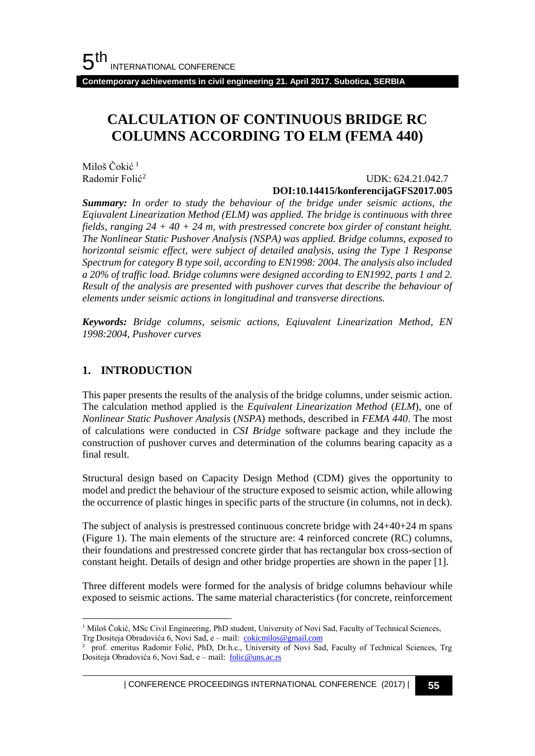**Contemporary achievements in civil engineering 21. April 2017. Subotica, SERBIA**

# **CALCULATION OF CONTINUOUS BRIDGE RC COLUMNS ACCORDING TO ELM (FEMA 440)**

Miloš Čokić<sup>1</sup> Radomir Folić<sup>2</sup>

 UDK: 624.21.042.7 **DOI:10.14415/konferencijaGFS2017.005**

*Summary: In order to study the behaviour of the bridge under seismic actions, the Eqiuvalent Linearization Method (ELM) was applied. The bridge is continuous with three fields, ranging 24 + 40 + 24 m, with prestressed concrete box girder of constant height. The Nonlinear Static Pushover Analysis (NSPA) was applied. Bridge columns, exposed to horizontal seismic effect, were subject of detailed analysis, using the Type 1 Response Spectrum for category B type soil, according to EN1998: 2004. The analysis also included a 20% of traffic load. Bridge columns were designed according to EN1992, parts 1 and 2. Result of the analysis are presented with pushover curves that describe the behaviour of elements under seismic actions in longitudinal and transverse directions.*

*Keywords: Bridge columns, seismic actions, Eqiuvalent Linearization Method, EN 1998:2004, Pushover curves*

### **1. INTRODUCTION**

This paper presents the results of the analysis of the bridge columns, under seismic action. The calculation method applied is the *Equivalent Linearization Method* (*ELM*), one of *Nonlinear Static Pushover Analysis* (*NSPA*) methods, described in *FEMA 440*. The most of calculations were conducted in *CSI Bridge* software package and they include the construction of pushover curves and determination of the columns bearing capacity as a final result.

Structural design based on Capacity Design Method (CDM) gives the opportunity to model and predict the behaviour of the structure exposed to seismic action, while allowing the occurrence of plastic hinges in specific parts of the structure (in columns, not in deck).

The subject of analysis is prestressed continuous concrete bridge with  $24+40+24$  m spans (Figure 1). The main elements of the structure are: 4 reinforced concrete (RC) columns, their foundations and prestressed concrete girder that has rectangular box cross-section of constant height. Details of design and other bridge properties are shown in the paper [1].

Three different models were formed for the analysis of bridge columns behaviour while exposed to seismic actions. The same material characteristics (for concrete, reinforcement

l <sup>1</sup> Miloš Čokić, MSc Civil Engineering, PhD student, University of Novi Sad, Faculty of Technical Sciences, Trg Dositeja Obradovića 6, Novi Sad, e - mail: [cokicmilos@gmail.com](mailto:cokicmilos@gmail.com)

<sup>&</sup>lt;sup>2</sup> prof. emeritus Radomir Folić, PhD, Dr.h.c., University of Novi Sad, Faculty of Technical Sciences, Trg Dositeja Obradovića 6, Novi Sad, e – mail: [folic@uns.ac.rs](mailto:folic@uns.ac.rs)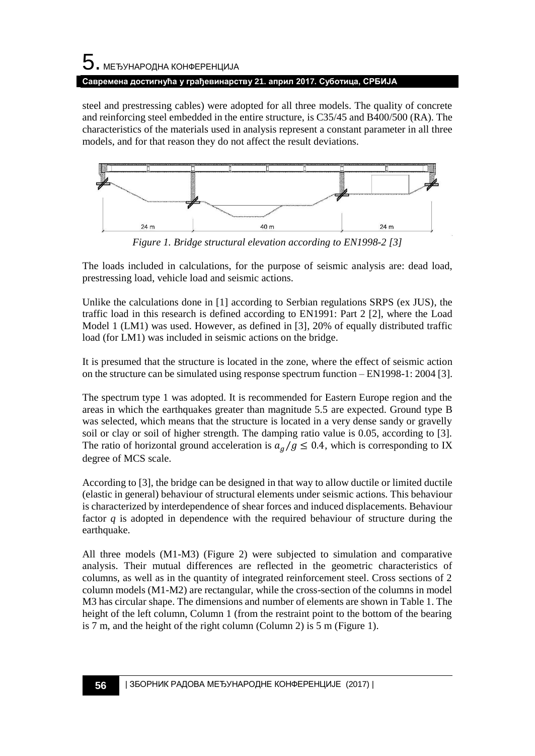# 5. МЕЂУНАРОДНА КОНФЕРЕНЦИЈА **Савремена достигнућа у грађевинарству 21. април 2017. Суботица, СРБИЈА**

steel and prestressing cables) were adopted for all three models. The quality of concrete and reinforcing steel embedded in the entire structure, is C35/45 and B400/500 (RA). The characteristics of the materials used in analysis represent a constant parameter in all three models, and for that reason they do not affect the result deviations.



*Figure 1. Bridge structural elevation according to EN1998-2 [3]*

The loads included in calculations, for the purpose of seismic analysis are: dead load, prestressing load, vehicle load and seismic actions.

Unlike the calculations done in [1] according to Serbian regulations SRPS (ex JUS), the traffic load in this research is defined according to EN1991: Part 2 [2], where the Load Model 1 (LM1) was used. However, as defined in [3], 20% of equally distributed traffic load (for LM1) was included in seismic actions on the bridge.

It is presumed that the structure is located in the zone, where the effect of seismic action on the structure can be simulated using response spectrum function – EN1998-1: 2004 [3].

The spectrum type 1 was adopted. It is recommended for Eastern Europe region and the areas in which the earthquakes greater than magnitude 5.5 are expected. Ground type B was selected, which means that the structure is located in a very dense sandy or gravelly soil or clay or soil of higher strength. The damping ratio value is 0.05, according to [3]. The ratio of horizontal ground acceleration is  $a_g/g \le 0.4$ , which is corresponding to IX degree of MCS scale.

According to [3], the bridge can be designed in that way to allow ductile or limited ductile (elastic in general) behaviour of structural elements under seismic actions. This behaviour is characterized by interdependence of shear forces and induced displacements. Behaviour factor *q* is adopted in dependence with the required behaviour of structure during the earthquake.

All three models (M1-M3) (Figure 2) were subjected to simulation and comparative analysis. Their mutual differences are reflected in the geometric characteristics of columns, as well as in the quantity of integrated reinforcement steel. Cross sections of 2 column models (M1-M2) are rectangular, while the cross-section of the columns in model M3 has circular shape. The dimensions and number of elements are shown in Table 1. The height of the left column, Column 1 (from the restraint point to the bottom of the bearing is 7 m, and the height of the right column (Column 2) is 5 m (Figure 1).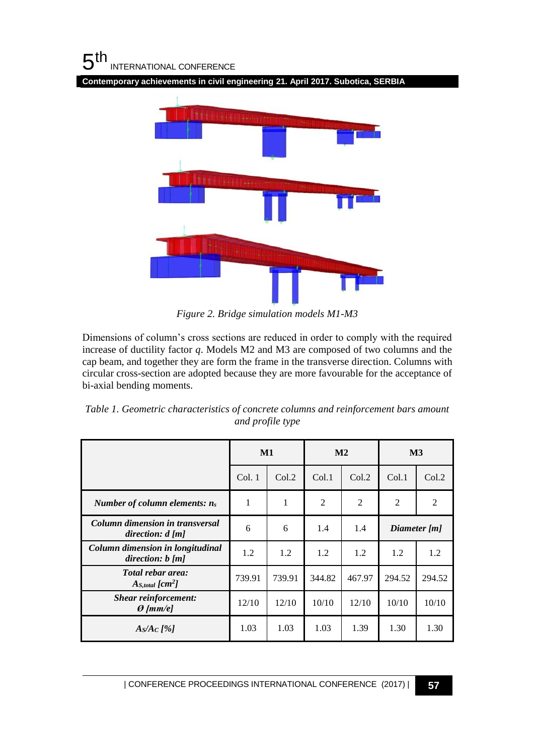## $5<sup>th</sup>$ INTERNATIONAL CONFERENCE

**Contemporary achievements in civil engineering 21. April 2017. Subotica, SERBIA**



*Figure 2. Bridge simulation models M1-M3*

Dimensions of column's cross sections are reduced in order to comply with the required increase of ductility factor *q*. Models M2 and M3 are composed of two columns and the cap beam, and together they are form the frame in the transverse direction. Columns with circular cross-section are adopted because they are more favourable for the acceptance of bi-axial bending moments.

*Table 1. Geometric characteristics of concrete columns and reinforcement bars amount and profile type*

|                                                        | $\mathbf{M1}$ |        | M <sub>2</sub> |        | $\mathbf{M}3$  |        |
|--------------------------------------------------------|---------------|--------|----------------|--------|----------------|--------|
|                                                        | Col.1         | Col.2  | Col.1          | Col.2  | Col.1          | Col.2  |
| Number of column elements: $n_s$                       | 1             | 1      | 2              | 2      | $\overline{2}$ | 2      |
| Column dimension in transversal<br>direction: $d$ [m]  | 6             | 6      | 1.4            | 1.4    | Diameter [m]   |        |
| Column dimension in longitudinal<br>direction: $b$ [m] | 1.2           | 1.2    | 1.2            | 1.2    | 1.2            | 1.2    |
| Total rebar area:<br>$A_{S, total}$ [ $cm2$ ]          | 739.91        | 739.91 | 344.82         | 467.97 | 294.52         | 294.52 |
| <b>Shear reinforcement:</b><br>$\Theta$ [mm/e]         | 12/10         | 12/10  | 10/10          | 12/10  | 10/10          | 10/10  |
| $A_S/A_C$ [%]                                          | 1.03          | 1.03   | 1.03           | 1.39   | 1.30           | 1.30   |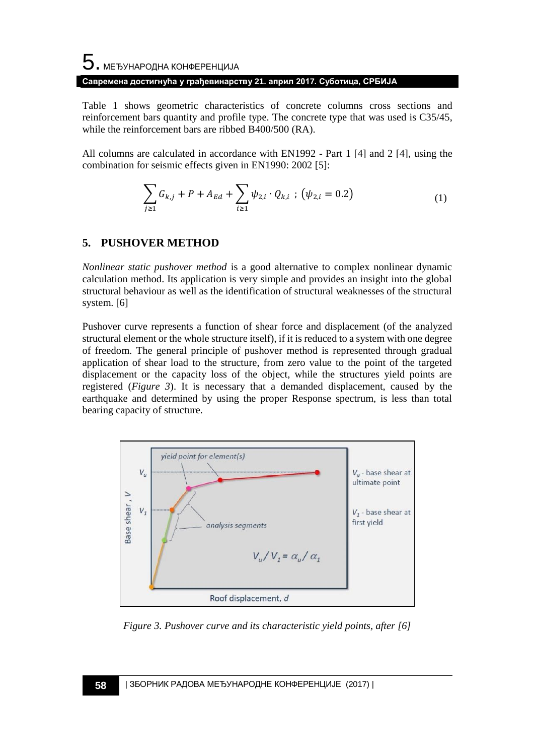# $\mathbf 5$ . међународна конференција **Савремена достигнућа у грађевинарству 21. април 2017. Суботица, СРБИЈА**

Table 1 shows geometric characteristics of concrete columns cross sections and reinforcement bars quantity and profile type. The concrete type that was used is C35/45, while the reinforcement bars are ribbed B400/500 (RA).

All columns are calculated in accordance with EN1992 - Part 1 [4] and 2 [4], using the combination for seismic effects given in EN1990: 2002 [5]:

$$
\sum_{j\geq 1} G_{k,j} + P + A_{Ed} + \sum_{i\geq 1} \psi_{2,i} \cdot Q_{k,i} ; (\psi_{2,i} = 0.2)
$$
 (1)

## **5. PUSHOVER METHOD**

*Nonlinear static pushover method* is a good alternative to complex nonlinear dynamic calculation method. Its application is very simple and provides an insight into the global structural behaviour as well as the identification of structural weaknesses of the structural system. [6]

Pushover curve represents a function of shear force and displacement (of the analyzed structural element or the whole structure itself), if it is reduced to a system with one degree of freedom. The general principle of pushover method is represented through gradual application of shear load to the structure, from zero value to the point of the targeted displacement or the capacity loss of the object, while the structures yield points are registered (*Figure 3*). It is necessary that a demanded displacement, caused by the earthquake and determined by using the proper Response spectrum, is less than total bearing capacity of structure.



*Figure 3. Pushover curve and its characteristic yield points, after [6]*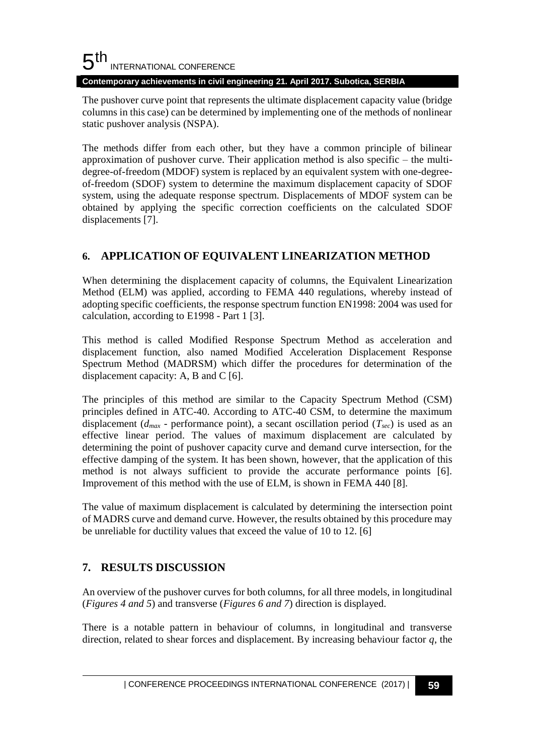#### 5 th INTERNATIONAL CONFERENCE **Contemporary achievements in civil engineering 21. April 2017. Subotica, SERBIA**

The pushover curve point that represents the ultimate displacement capacity value (bridge columns in this case) can be determined by implementing one of the methods of nonlinear static pushover analysis (NSPA).

The methods differ from each other, but they have a common principle of bilinear approximation of pushover curve. Their application method is also specific – the multidegree-of-freedom (MDOF) system is replaced by an equivalent system with one-degreeof-freedom (SDOF) system to determine the maximum displacement capacity of SDOF system, using the adequate response spectrum. Displacements of MDOF system can be obtained by applying the specific correction coefficients on the calculated SDOF displacements [7].

# **6. APPLICATION OF EQUIVALENT LINEARIZATION METHOD**

When determining the displacement capacity of columns, the Equivalent Linearization Method (ELM) was applied, according to FEMA 440 regulations, whereby instead of adopting specific coefficients, the response spectrum function EN1998: 2004 was used for calculation, according to E1998 - Part 1 [3].

This method is called Modified Response Spectrum Method as acceleration and displacement function, also named Modified Acceleration Displacement Response Spectrum Method (MADRSM) which differ the procedures for determination of the displacement capacity: A, B and C [6].

The principles of this method are similar to the Capacity Spectrum Method (CSM) principles defined in ATC-40. According to ATC-40 CSM, to determine the maximum displacement ( $d_{max}$  - performance point), a secant oscillation period ( $T_{sec}$ ) is used as an effective linear period. The values of maximum displacement are calculated by determining the point of pushover capacity curve and demand curve intersection, for the effective damping of the system. It has been shown, however, that the application of this method is not always sufficient to provide the accurate performance points [6]. Improvement of this method with the use of ELM, is shown in FEMA 440 [8].

The value of maximum displacement is calculated by determining the intersection point of MADRS curve and demand curve. However, the results obtained by this procedure may be unreliable for ductility values that exceed the value of 10 to 12. [6]

# **7. RESULTS DISCUSSION**

An overview of the pushover curves for both columns, for all three models, in longitudinal (*Figures 4 and 5*) and transverse (*Figures 6 and 7*) direction is displayed.

There is a notable pattern in behaviour of columns, in longitudinal and transverse direction, related to shear forces and displacement. By increasing behaviour factor *q*, the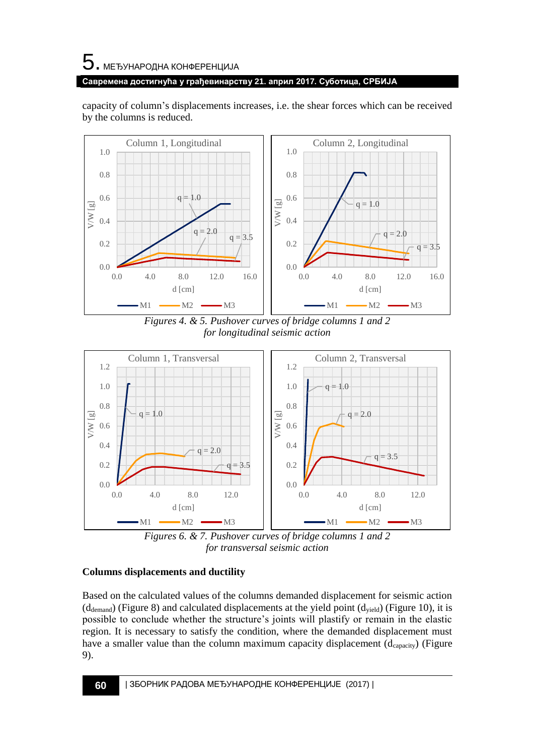capacity of column's displacements increases, i.e. the shear forces which can be received by the columns is reduced.



*Figures 4. & 5. Pushover curves of bridge columns 1 and 2 for longitudinal seismic action*



*Figures 6. & 7. Pushover curves of bridge columns 1 and 2 for transversal seismic action*

### **Columns displacements and ductility**

Based on the calculated values of the columns demanded displacement for seismic action  $(d_{\text{demand}})$  (Figure 8) and calculated displacements at the yield point  $(d_{\text{yield}})$  (Figure 10), it is possible to conclude whether the structure's joints will plastify or remain in the elastic region. It is necessary to satisfy the condition, where the demanded displacement must have a smaller value than the column maximum capacity displacement  $(d_{capacity})$  (Figure 9).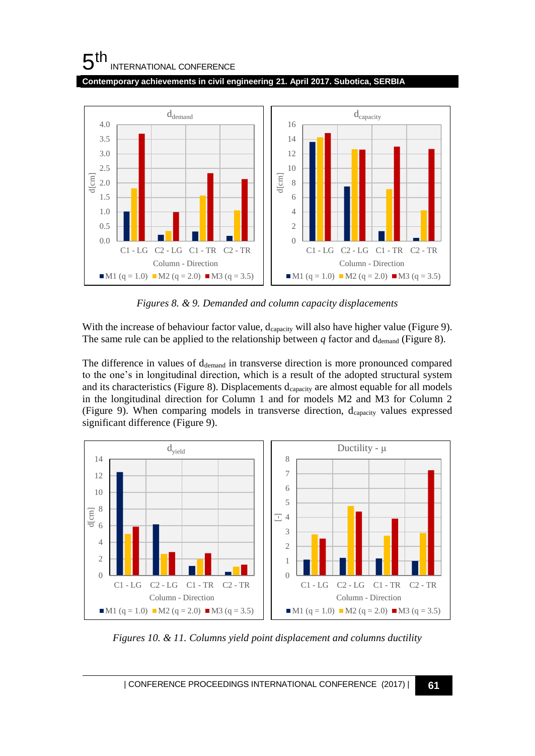# $5<sup>th</sup>$ INTERNATIONAL CONFERENCE

**Contemporary achievements in civil engineering 21. April 2017. Subotica, SERBIA**



*Figures 8. & 9. Demanded and column capacity displacements*

With the increase of behaviour factor value,  $d_{\text{capacity}}$  will also have higher value (Figure 9). The same rule can be applied to the relationship between  $q$  factor and  $d_{\text{demand}}$  (Figure 8).

The difference in values of  $d_{\text{demand}}$  in transverse direction is more pronounced compared to the one's in longitudinal direction, which is a result of the adopted structural system and its characteristics (Figure 8). Displacements  $d_{capacity}$  are almost equable for all models in the longitudinal direction for Column 1 and for models M2 and M3 for Column 2 (Figure 9). When comparing models in transverse direction, dcapacity values expressed significant difference (Figure 9).



*Figures 10. & 11. Columns yield point displacement and columns ductility*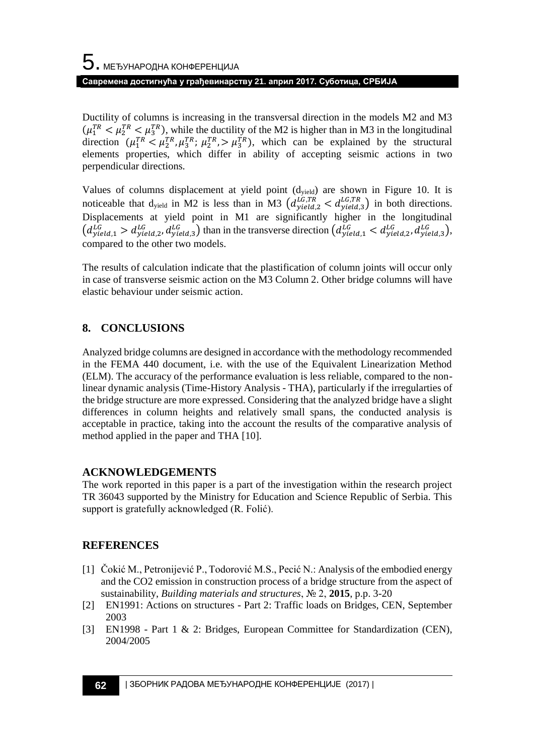Ductility of columns is increasing in the transversal direction in the models M2 and M3  $(\mu_1^{TR} < \mu_2^{TR})$ , while the ductility of the M2 is higher than in M3 in the longitudinal direction  $(\mu_1^{TR} < \mu_2^{TR}, \mu_3^{TR}; \mu_2^{TR}) > \mu_3^{TR})$ , which can be explained by the structural elements properties, which differ in ability of accepting seismic actions in two perpendicular directions.

Values of columns displacement at yield point (dyield) are shown in Figure 10. It is noticeable that d<sub>yield</sub> in M2 is less than in M3  $(d_{yield, 2}^{LG, TR} < d_{yield, 3}^{LG, TR})$  in both directions. Displacements at yield point in M1 are significantly higher in the longitudinal  $(d_{yield,1}^{LG} > d_{yield,2}^{LG}, d_{yield,3}^{LG})$  than in the transverse direction  $(d_{yield,1}^{LG} < d_{yield,2}^{LG}, d_{yield,3}^{LG}),$ compared to the other two models.

The results of calculation indicate that the plastification of column joints will occur only in case of transverse seismic action on the M3 Column 2. Other bridge columns will have elastic behaviour under seismic action.

# **8. CONCLUSIONS**

Analyzed bridge columns are designed in accordance with the methodology recommended in the FEMA 440 document, i.e. with the use of the Equivalent Linearization Method (ELM). The accuracy of the performance evaluation is less reliable, compared to the nonlinear dynamic analysis (Time-History Analysis - THA), particularly if the irregularties of the bridge structure are more expressed. Considering that the analyzed bridge have a slight differences in column heights and relatively small spans, the conducted analysis is acceptable in practice, taking into the account the results of the comparative analysis of method applied in the paper and THA [10].

## **ACKNOWLEDGEMENTS**

The work reported in this paper is a part of the investigation within the research project TR 36043 supported by the Ministry for Education and Science Republic of Serbia. This support is gratefully acknowledged (R. Folić).

### **REFERENCES**

- [1] Čokić M., Petronijević P., Todorović M.S., Pecić N.: Analysis of the embodied energy and the CO2 emission in construction process of a bridge structure from the aspect of sustainability, *Building materials and structures*, № 2, **2015**, p.p. 3-20
- [2] EN1991: Actions on structures Part 2: Traffic loads on Bridges, CEN, September 2003
- [3] EN1998 Part 1 & 2: Bridges, European Committee for Standardization (CEN), 2004/2005